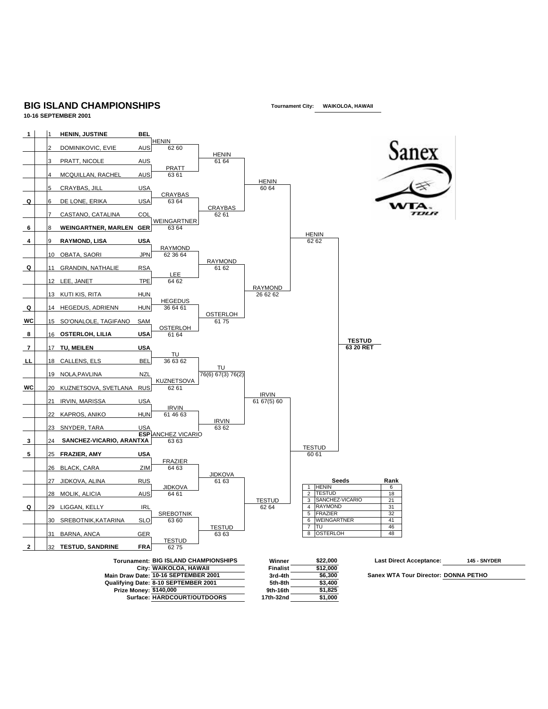## **BIG ISLAND CHAMPIONSHIPS 10-16 SEPTEMBER 2001**

**Tournament City: WAIKOLOA, HAWAII**

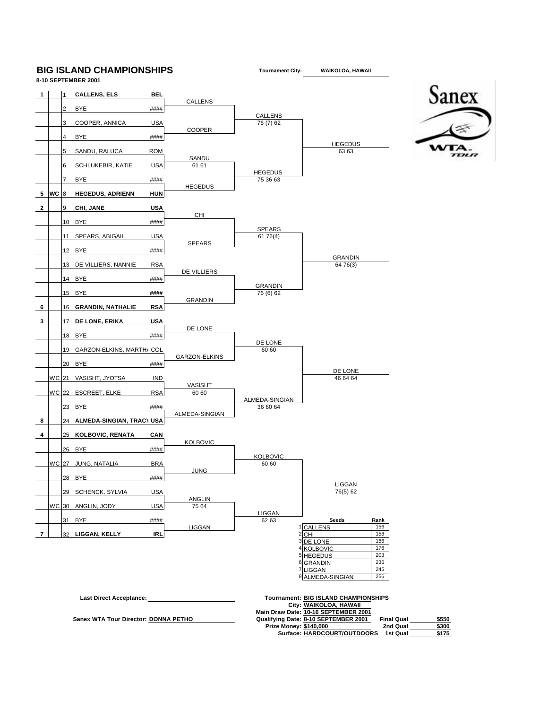## **BIG ISLAND CHAMPIONSHIPS**





**Tournament City:**

**WAIKOLOA, HAWAII**

Sanex

WTA  $TIII1I$